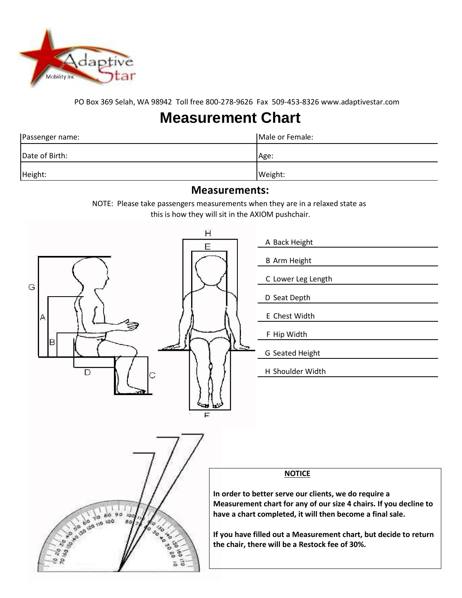

PO Box 369 Selah, WA 98942 Toll free 800-278-9626 Fax 509-453-8326 [www.adaptivestar.com](http://www.adaptivestar.com/)

## **Measurement Chart**

| Passenger name: | Male or Female: |
|-----------------|-----------------|
| Date of Birth:  | Age:            |
| Height:         | Weight:         |

## **Measurements:**

NOTE: Please take passengers measurements when they are in a relaxed state as this is how they will sit in the AXIOM pushchair.